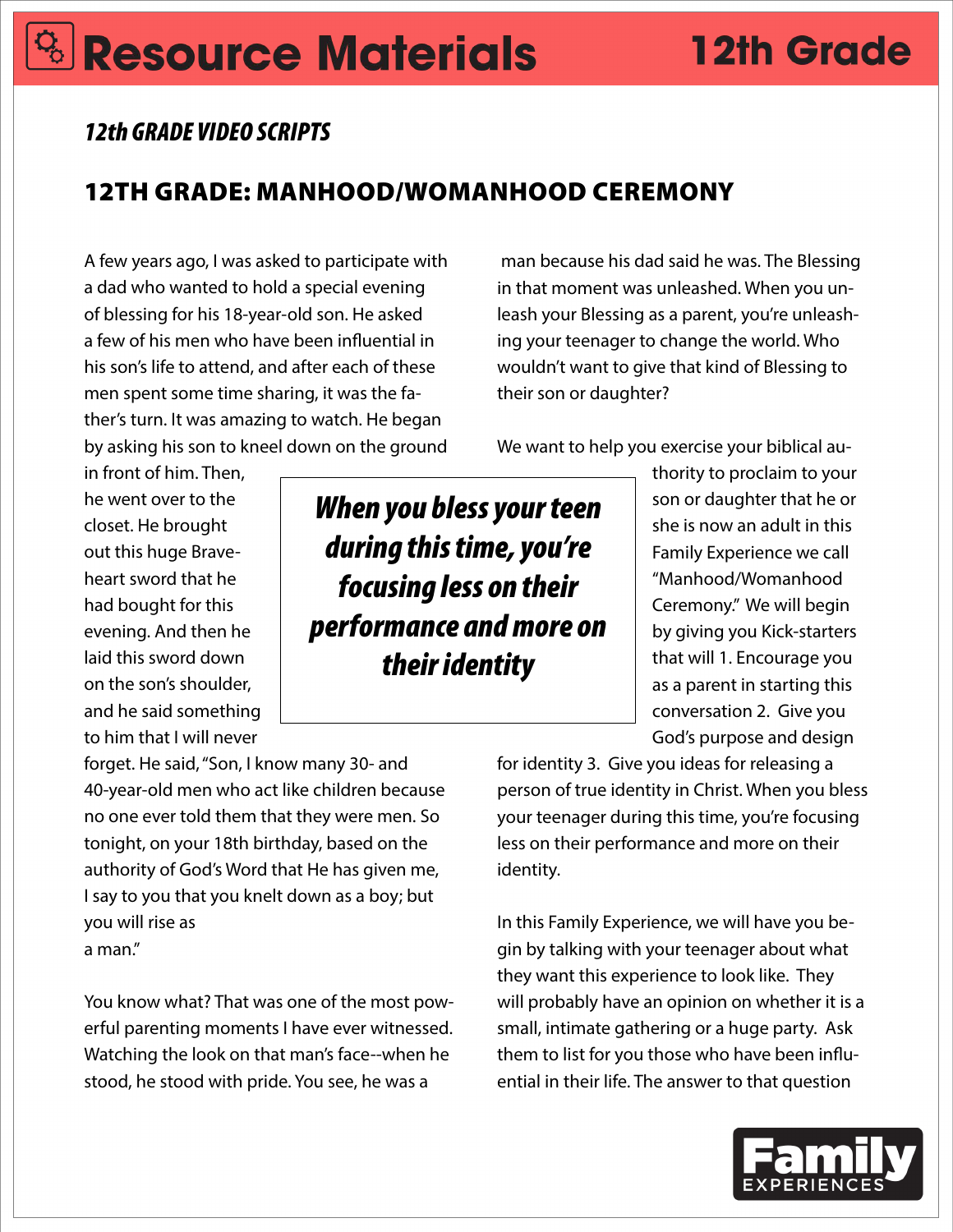# **Resource Materials 12th Grade**

### *12th GRADE VIDEO SCRIPTS*

## 12TH GRADE: MANHOOD/WOMANHOOD CEREMONY

A few years ago, I was asked to participate with a dad who wanted to hold a special evening of blessing for his 18-year-old son. He asked a few of his men who have been influential in his son's life to attend, and after each of these men spent some time sharing, it was the father's turn. It was amazing to watch. He began by asking his son to kneel down on the ground

 man because his dad said he was. The Blessing in that moment was unleashed. When you unleash your Blessing as a parent, you're unleashing your teenager to change the world. Who wouldn't want to give that kind of Blessing to their son or daughter?

We want to help you exercise your biblical au-

in front of him. Then, he went over to the closet. He brought out this huge Braveheart sword that he had bought for this evening. And then he laid this sword down on the son's shoulder, and he said something to him that I will never

*When you bless your teen during this time, you're focusing less on their performance and more on their identity*

thority to proclaim to your son or daughter that he or she is now an adult in this Family Experience we call "Manhood/Womanhood Ceremony." We will begin by giving you Kick-starters that will 1. Encourage you as a parent in starting this conversation 2. Give you God's purpose and design

forget. He said, "Son, I know many 30- and 40-year-old men who act like children because no one ever told them that they were men. So tonight, on your 18th birthday, based on the authority of God's Word that He has given me, I say to you that you knelt down as a boy; but you will rise as a man."

You know what? That was one of the most powerful parenting moments I have ever witnessed. Watching the look on that man's face--when he stood, he stood with pride. You see, he was a

for identity 3. Give you ideas for releasing a person of true identity in Christ. When you bless your teenager during this time, you're focusing less on their performance and more on their identity.

In this Family Experience, we will have you begin by talking with your teenager about what they want this experience to look like. They will probably have an opinion on whether it is a small, intimate gathering or a huge party. Ask them to list for you those who have been influential in their life. The answer to that question